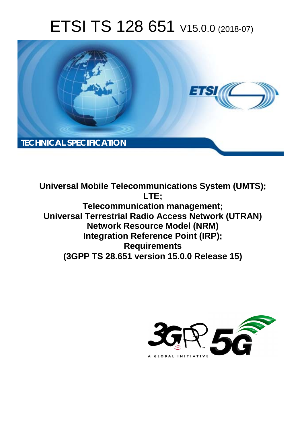# ETSI TS 128 651 V15.0.0 (2018-07)



**Universal Mobile Telecommunications System (UMTS); LTE; Telecommunication management; Universal Terrestrial Radio Access Network (UTRAN) Network Resource Model (NRM) Integration Reference Point (IRP); Requirements (3GPP TS 28.651 version 15.0.0 Release 15)** 

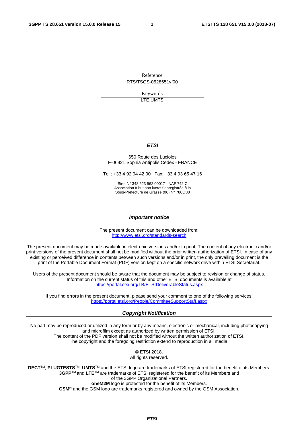Reference RTS/TSGS-0528651vf00

> Keywords LTE,UMTS

#### *ETSI*

#### 650 Route des Lucioles F-06921 Sophia Antipolis Cedex - FRANCE

Tel.: +33 4 92 94 42 00 Fax: +33 4 93 65 47 16

Siret N° 348 623 562 00017 - NAF 742 C Association à but non lucratif enregistrée à la Sous-Préfecture de Grasse (06) N° 7803/88

#### *Important notice*

The present document can be downloaded from: <http://www.etsi.org/standards-search>

The present document may be made available in electronic versions and/or in print. The content of any electronic and/or print versions of the present document shall not be modified without the prior written authorization of ETSI. In case of any existing or perceived difference in contents between such versions and/or in print, the only prevailing document is the print of the Portable Document Format (PDF) version kept on a specific network drive within ETSI Secretariat.

Users of the present document should be aware that the document may be subject to revision or change of status. Information on the current status of this and other ETSI documents is available at <https://portal.etsi.org/TB/ETSIDeliverableStatus.aspx>

If you find errors in the present document, please send your comment to one of the following services: <https://portal.etsi.org/People/CommiteeSupportStaff.aspx>

#### *Copyright Notification*

No part may be reproduced or utilized in any form or by any means, electronic or mechanical, including photocopying and microfilm except as authorized by written permission of ETSI. The content of the PDF version shall not be modified without the written authorization of ETSI. The copyright and the foregoing restriction extend to reproduction in all media.

> © ETSI 2018. All rights reserved.

**DECT**TM, **PLUGTESTS**TM, **UMTS**TM and the ETSI logo are trademarks of ETSI registered for the benefit of its Members. **3GPP**TM and **LTE**TM are trademarks of ETSI registered for the benefit of its Members and of the 3GPP Organizational Partners. **oneM2M** logo is protected for the benefit of its Members.

**GSM**® and the GSM logo are trademarks registered and owned by the GSM Association.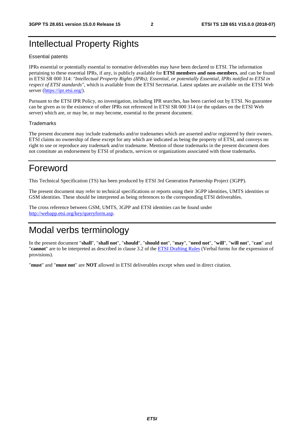### Intellectual Property Rights

#### Essential patents

IPRs essential or potentially essential to normative deliverables may have been declared to ETSI. The information pertaining to these essential IPRs, if any, is publicly available for **ETSI members and non-members**, and can be found in ETSI SR 000 314: *"Intellectual Property Rights (IPRs); Essential, or potentially Essential, IPRs notified to ETSI in respect of ETSI standards"*, which is available from the ETSI Secretariat. Latest updates are available on the ETSI Web server ([https://ipr.etsi.org/\)](https://ipr.etsi.org/).

Pursuant to the ETSI IPR Policy, no investigation, including IPR searches, has been carried out by ETSI. No guarantee can be given as to the existence of other IPRs not referenced in ETSI SR 000 314 (or the updates on the ETSI Web server) which are, or may be, or may become, essential to the present document.

#### **Trademarks**

The present document may include trademarks and/or tradenames which are asserted and/or registered by their owners. ETSI claims no ownership of these except for any which are indicated as being the property of ETSI, and conveys no right to use or reproduce any trademark and/or tradename. Mention of those trademarks in the present document does not constitute an endorsement by ETSI of products, services or organizations associated with those trademarks.

### Foreword

This Technical Specification (TS) has been produced by ETSI 3rd Generation Partnership Project (3GPP).

The present document may refer to technical specifications or reports using their 3GPP identities, UMTS identities or GSM identities. These should be interpreted as being references to the corresponding ETSI deliverables.

The cross reference between GSM, UMTS, 3GPP and ETSI identities can be found under [http://webapp.etsi.org/key/queryform.asp.](http://webapp.etsi.org/key/queryform.asp)

### Modal verbs terminology

In the present document "**shall**", "**shall not**", "**should**", "**should not**", "**may**", "**need not**", "**will**", "**will not**", "**can**" and "**cannot**" are to be interpreted as described in clause 3.2 of the [ETSI Drafting Rules](https://portal.etsi.org/Services/editHelp!/Howtostart/ETSIDraftingRules.aspx) (Verbal forms for the expression of provisions).

"**must**" and "**must not**" are **NOT** allowed in ETSI deliverables except when used in direct citation.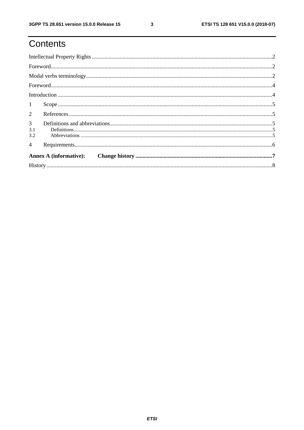# Contents

| 1                            |  |  |  |  |
|------------------------------|--|--|--|--|
| $\overline{2}$               |  |  |  |  |
| 3 <sup>7</sup><br>3.1<br>3.2 |  |  |  |  |
| $\overline{4}$               |  |  |  |  |
|                              |  |  |  |  |
|                              |  |  |  |  |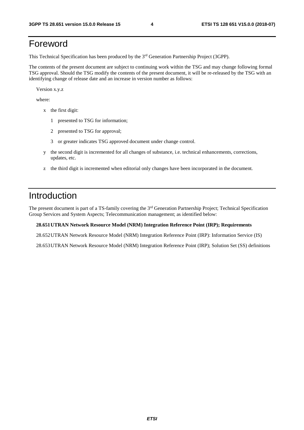### Foreword

This Technical Specification has been produced by the 3rd Generation Partnership Project (3GPP).

The contents of the present document are subject to continuing work within the TSG and may change following formal TSG approval. Should the TSG modify the contents of the present document, it will be re-released by the TSG with an identifying change of release date and an increase in version number as follows:

Version x.y.z

where:

- x the first digit:
	- 1 presented to TSG for information;
	- 2 presented to TSG for approval;
	- 3 or greater indicates TSG approved document under change control.
- y the second digit is incremented for all changes of substance, i.e. technical enhancements, corrections, updates, etc.
- z the third digit is incremented when editorial only changes have been incorporated in the document.

### Introduction

The present document is part of a TS-family covering the 3rd Generation Partnership Project; Technical Specification Group Services and System Aspects; Telecommunication management; as identified below:

#### **28.651 UTRAN Network Resource Model (NRM) Integration Reference Point (IRP); Requirements**

28.652 UTRAN Network Resource Model (NRM) Integration Reference Point (IRP): Information Service (IS)

28.653 UTRAN Network Resource Model (NRM) Integration Reference Point (IRP); Solution Set (SS) definitions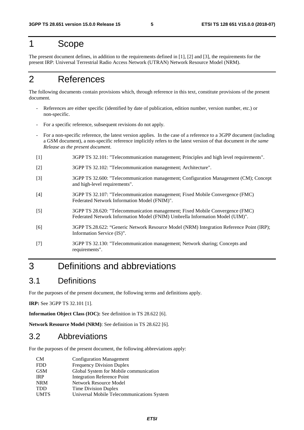#### 1 Scope

The present document defines, in addition to the requirements defined in [1], [2] and [3], the requirements for the present IRP: Universal Terrestrial Radio Access Network (UTRAN) Network Resource Model (NRM).

### 2 References

The following documents contain provisions which, through reference in this text, constitute provisions of the present document.

- References are either specific (identified by date of publication, edition number, version number, etc.) or non-specific.
- For a specific reference, subsequent revisions do not apply.
- For a non-specific reference, the latest version applies. In the case of a reference to a 3GPP document (including a GSM document), a non-specific reference implicitly refers to the latest version of that document *in the same Release as the present document*.
- [1] 3GPP TS 32.101: "Telecommunication management; Principles and high level requirements".
- [2] 3GPP TS 32.102: "Telecommunication management; Architecture".
- [3] 3GPP TS 32.600: "Telecommunication management; Configuration Management (CM); Concept and high-level requirements".
- [4] 3GPP TS 32.107: "Telecommunication management; Fixed Mobile Convergence (FMC) Federated Network Information Model (FNIM)".
- [5] 3GPP TS 28.620: "Telecommunication management; Fixed Mobile Convergence (FMC) Federated Network Information Model (FNIM) Umbrella Information Model (UIM)".
- [6] 3GPP TS.28.622: "Generic Network Resource Model (NRM) Integration Reference Point (IRP); Information Service (IS)".
- [7] 3GPP TS 32.130: "Telecommunication management; Network sharing; Concepts and requirements".

### 3 Definitions and abbreviations

#### 3.1 Definitions

For the purposes of the present document, the following terms and definitions apply.

**IRP:** See 3GPP TS 32.101 [1].

**Information Object Class (IOC):** See definition in TS 28.622 [6].

**Network Resource Model (NRM)**: See definition in TS 28.622 [6].

#### 3.2 Abbreviations

For the purposes of the present document, the following abbreviations apply:

| <b>CM</b>   | <b>Configuration Management</b>            |
|-------------|--------------------------------------------|
| <b>FDD</b>  | <b>Frequency Division Duplex</b>           |
| <b>GSM</b>  | Global System for Mobile communication     |
| <b>IRP</b>  | Integration Reference Point                |
| <b>NRM</b>  | Network Resource Model                     |
| <b>TDD</b>  | Time Division Duplex                       |
| <b>UMTS</b> | Universal Mobile Telecommunications System |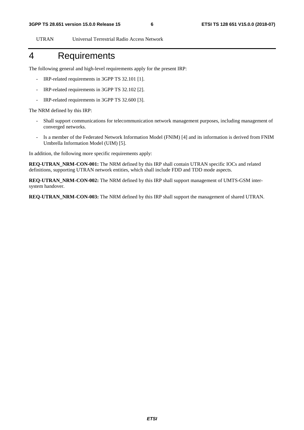UTRAN Universal Terrestrial Radio Access Network

#### 4 Requirements

The following general and high-level requirements apply for the present IRP:

- IRP-related requirements in 3GPP TS 32.101 [1].
- IRP-related requirements in 3GPP TS 32.102 [2].
- IRP-related requirements in 3GPP TS 32.600 [3].

The NRM defined by this IRP:

- Shall support communications for telecommunication network management purposes, including management of converged networks.
- Is a member of the Federated Network Information Model (FNIM) [4] and its information is derived from FNIM Umbrella Information Model (UIM) [5].

In addition, the following more specific requirements apply:

**REQ-UTRAN\_NRM-CON-001:** The NRM defined by this IRP shall contain UTRAN specific IOCs and related definitions, supporting UTRAN network entities, which shall include FDD and TDD mode aspects.

**REQ-UTRAN\_NRM-CON-002:** The NRM defined by this IRP shall support management of UMTS-GSM intersystem handover.

**REQ-UTRAN\_NRM-CON-003:** The NRM defined by this IRP shall support the management of shared UTRAN.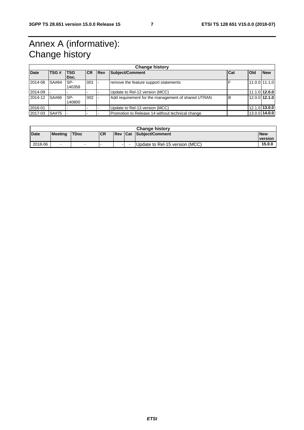## Annex A (informative): Change history

| <b>Change history</b> |       |            |           |             |                                                    |   |                 |            |
|-----------------------|-------|------------|-----------|-------------|----------------------------------------------------|---|-----------------|------------|
| Date                  | TSG # | <b>TSG</b> | <b>CR</b> | <b>IRev</b> | Subject/Comment<br>Cat                             |   | Old             | <b>New</b> |
|                       |       | Doc.       |           |             |                                                    |   |                 |            |
| 2014-06               | SA#64 | SP-        | 001       |             | remove the feature support statements              |   | 11.0.0 11.1.0   |            |
|                       |       | 140358     |           |             |                                                    |   |                 |            |
| 2014-09               |       |            |           |             | Update to Rel-12 version (MCC)                     |   | 11.1.0 12.0.0   |            |
| 2014-12               | SA#66 | SP-        | 002       |             | Add requirement for the management of shared UTRAN | B | 12.0.0 12.1.0   |            |
|                       |       | 140800     |           |             |                                                    |   |                 |            |
| 2016-01               |       |            |           |             | Update to Rel-13 version (MCC)                     |   | $12.1.0$ 13.0.0 |            |
| 2017-03               | SA#75 |            |           |             | Promotion to Release 14 without technical change   |   | $13.0.0$ 14.0.0 |            |

| <b>Change history</b> |                          |             |           |        |     |                                |            |
|-----------------------|--------------------------|-------------|-----------|--------|-----|--------------------------------|------------|
| <b>Date</b>           | <b>Meeting</b>           | <b>TDoc</b> | <b>CR</b> | l Rev  | Cat | Subiect/Comment                | <b>New</b> |
|                       |                          |             |           |        |     |                                | version    |
| 2018-06               | $\overline{\phantom{a}}$ |             |           | $\sim$ | . . | Update to Rel-15 version (MCC) | 15.0.0     |